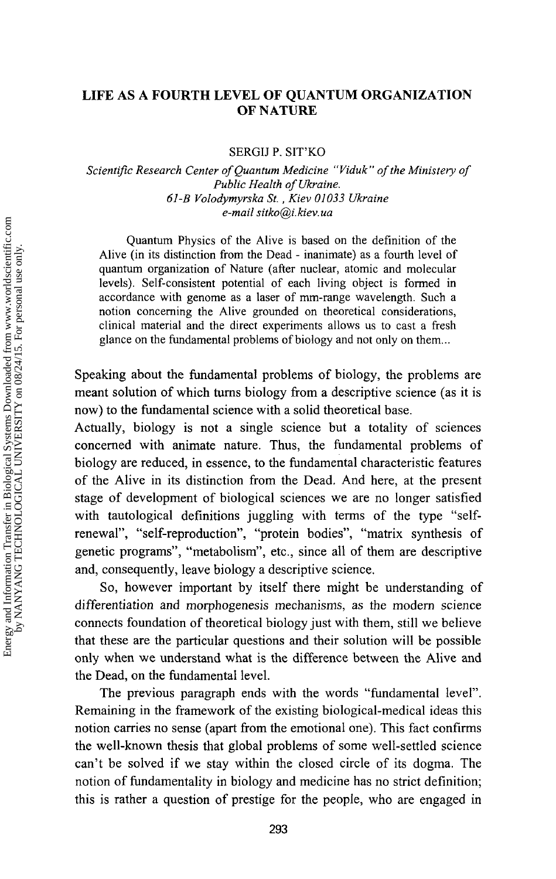## **LIFE AS A FOURTH LEVEL OF QUANTUM ORGANIZATION OF NATURE**

SERGIJ P. SIT'KO

*Scientijic Research Center of Quantum Medicine "Viduk" of the Ministey of Public Health of Ukraine. 61-B Volodymyrska St.* , *Kiev 01033 Ukraine e-mail sitko@i. kiev.ua* 

Quantum Physics of the Alive is based on the definition of the Alive (in its distinction from the Dead - inanimate) as a fourth level of quantum organization of Nature (after nuclear, atomic and molecular levels). Self-consistent potential of each living object is formed in accordance with genome as a laser of mm-range wavelength. Such a notion concerning the Alive grounded on theoretical considerations, clinical material and the direct experiments allows us to cast a fresh glance on the fundamental problems of biology and not only on them...

Speaking about the fundamental problems of biology, the problems are meant solution of which turns biology from a descriptive science (as it is now) to the fundamental science with a solid theoretical base.

Actually, biology is not a single science but a totality of sciences concerned with animate nature. Thus, the fundamental problems of biology are reduced, in essence, to the fundamental characteristic features of the Alive in its distinction from the Dead. And here, at the present stage of development of biological sciences we are no longer satisfied with tautological definitions juggling with terms of the type "selfrenewal", "self-reproduction", "protein bodies", "matrix synthesis of genetic programs", "metabolism", etc., since all of them are descriptive and, consequently, leave biology a descriptive science.

So, however important by itself there might be understanding of differentiation and morphogenesis mechanisms, as the modern science connects foundation of theoretical biology just with them, still we believe that these are the particular questions and their solution will be possible only when we understand what is the difference between the Alive and the Dead, on the fundamental level.

The previous paragraph ends with the words "fundamental level". Remaining in the framework of the existing biological-medical ideas this notion carries no sense (apart from the emotional one). This fact confirms the well-known thesis that global problems of some well-settled science can't be solved if we stay within the closed circle of its dogma. The notion of fundamentality in biology and medicine has no strict definition; this is rather a question of prestige for the people, who are engaged in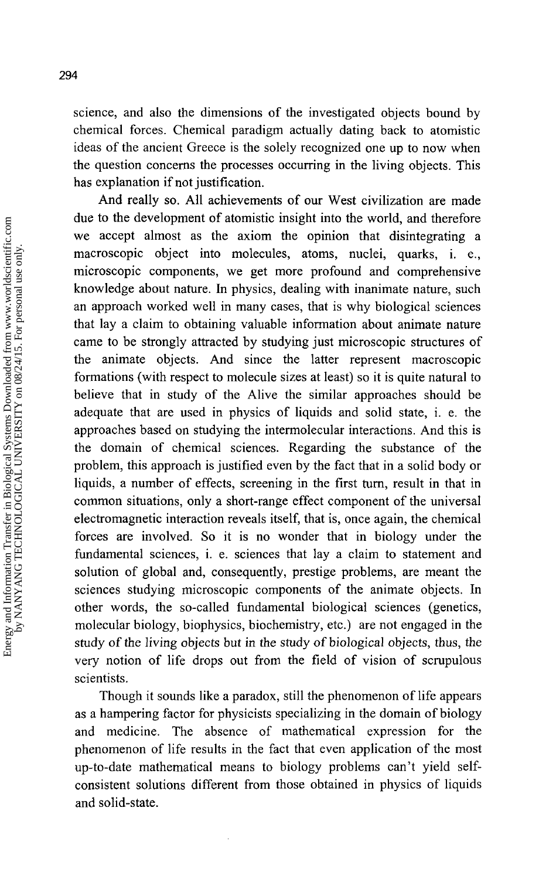science, and also the dimensions of the investigated objects bound by chemical forces. Chemical paradigm actually dating back to atomistic ideas of the ancient Greece is the solely recognized one up to now when the question concerns the processes occurring in the living objects. This has explanation if not justification.

And really so. All achievements of our West civilization are made due to the development of atomistic insight into the world, and therefore we accept almost as the axiom the opinion that disintegrating a macroscopic object into molecules, atoms, nuclei, quarks, i. e., microscopic components, we get more profound and comprehensive knowledge about nature. In physics, dealing with inanimate nature, such an approach worked well in many cases, that is why biological sciences that lay a claim to obtaining valuable information about animate nature came to be strongly attracted by studying just microscopic structures of the animate objects. And since the latter represent macroscopic formations (with respect to molecule sizes at least) so it is quite natural to believe that in study of the Alive the similar approaches should be adequate that are used in physics of liquids and solid state, i. e. the approaches based on studying the intermolecular interactions. And this is the domain of chemical sciences. Regarding the substance of the problem, this approach is justified even by the fact that in a solid body or liquids, a number of effects, screening in the first **turn,** result in that in common situations, only a short-range effect component of the universal electromagnetic interaction reveals itself, that is, once again, the chemical forces are involved. So it is no wonder that in biology under the fundamental sciences, i. e. sciences that lay a claim to statement and solution of global and, consequently, prestige problems, are meant the sciences studying microscopic components of the animate objects. In other words, the so-called fundamental biological sciences (genetics, molecular biology, biophysics, biochemistry, etc.) are not engaged in the study of the living objects but in the study of biological objects, thus, the very notion of life drops out from the field of vision of scrupulous scientists.

Though it sounds like a paradox, still the phenomenon of life appears as a hampering factor for physicists specializing in the domain of biology and medicine. The absence of mathematical expression for the phenomenon of life results in the fact that even application of the most up-to-date mathematical means to biology problems can't yield selfconsistent solutions different from those obtained in physics of liquids and solid-state.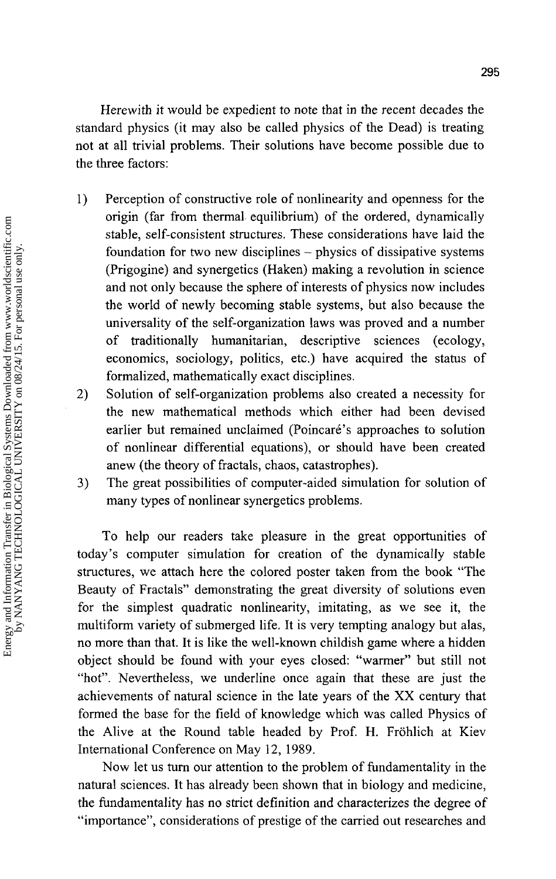Herewith it would be expedient to note that in the recent decades the standard physics (it may also be called physics of the Dead) is treating not at all trivial problems. Their solutions have become possible due to the three factors:

- 1) Perception of constructive role of nonlinearity and openness for the origin (far from thermal. equilibrium) of the ordered, dynamically stable, self-consistent structures. These considerations have laid the foundation for two new disciplines – physics of dissipative systems (Prigogine) and synergetics (Haken) making a revolution in science and not only because the sphere of interests of physics now includes the world of newly becoming stable systems, but also because the universality of the self-organization laws was proved and a number of traditionally humanitarian, descriptive sciences (ecology, economics, sociology, politics, etc.) have acquired the status of formalized, mathematically exact disciplines.
- Solution of self-organization problems also created a necessity for the new mathematical methods which either had been devised earlier but remained unclaimed (Poincaré's approaches to solution of nonlinear differential equations), or should have been created anew (the theory of fractals, chaos, catastrophes). 2)
- The great possibilities of computer-aided simulation for solution of many types of nonlinear synergetics problems. 3)

To help our readers take pleasure in the great opportunities of today's computer simulation for creation of the dynamically stable structures, we attach here the colored poster taken from the book "The Beauty of Fractals" demonstrating the great diversity of solutions even for the simplest quadratic nonlinearity, imitating, as we see it, the multiform variety of submerged life. It is very tempting analogy but alas, no more than that. It is like the well-known childish game where a hidden object should be found with your eyes closed: "warmer" but still not "hot". Nevertheless, we underline once again that these are just the achievements of natural science in the late years of the XX century that formed the base for the field of knowledge which was called Physics of the Alive at the Round table headed by Prof. H. Frohlich at Kiev International Conference on May 12, 1989.

Now let us turn our attention to the problem of fimdamentality in the natural sciences. It has already been shown that in biology and medicine, the fundamentality has no strict definition and characterizes the degree of "importance", considerations of prestige of the carried out researches and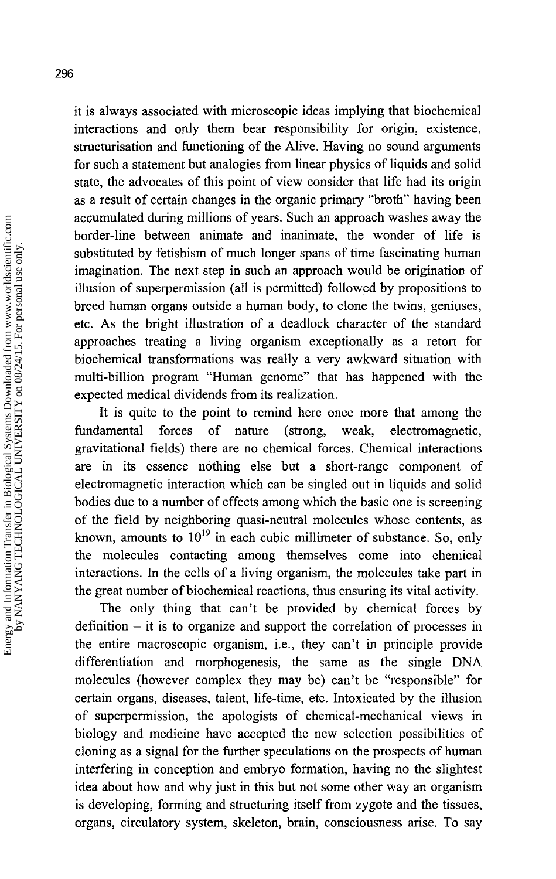it is always associated with microscopic ideas implying that biochemical interactions and only them bear responsibility for origin, existence, structurisation and functioning of the Alive. Having no sound arguments for such a statement but analogies from linear physics of liquids and solid state, the advocates of this point of view consider that life had its origin as a result of certain changes in the organic primary "broth" having been accumulated during millions of years. Such an approach washes away the border-line between animate and inanimate, the wonder of life is substituted by fetishism of much longer spans of time fascinating human imagination. The next step in such an approach would be origination of illusion of superpermission (all is permitted) followed by propositions to breed human organs outside a human body, to clone the twins, geniuses, etc. As the bright illustration of a deadlock character of the standard approaches treating a living organism exceptionally as a retort for biochemical transformations was really a very awkward situation with multi-billion program "Human genome" that has happened with the expected medical dividends from its realization.

It is quite to the point to remind here once more that among the fundamental forces of nature (strong, weak, electromagnetic, gravitational fields) there are no chemical forces. Chemical interactions are in its essence nothing else but a short-range component of electromagnetic interaction which can be singled out in liquids and solid bodies due to a number of effects among which the basic one is screening of the field by neighboring quasi-neutral molecules whose contents, as known, amounts to  $10^{19}$  in each cubic millimeter of substance. So, only the molecules contacting among themselves come into chemical interactions. In the cells of a living organism, the molecules take part in the great number of biochemical reactions, thus ensuring its vital activity.

The only thing that can't be provided by chemical forces by  $definition - it$  is to organize and support the correlation of processes in the entire macroscopic organism, i.e., they can't in principle provide differentiation and morphogenesis, the same as the single **DNA**  molecules (however complex they may be) can't be "responsible" for certain organs, diseases, talent, life-time, etc. Intoxicated by the illusion of superpermission, the apologists of chemical-mechanical views in biology and medicine have accepted the new selection possibilities of cloning as a signal for the further speculations on the prospects of human interfering in conception and embryo formation, having no the slightest idea about how and why just in this but not some other way an organism is developing, forming and structuring itself from zygote and the tissues, organs, circulatory system, skeleton, brain, consciousness arise. To say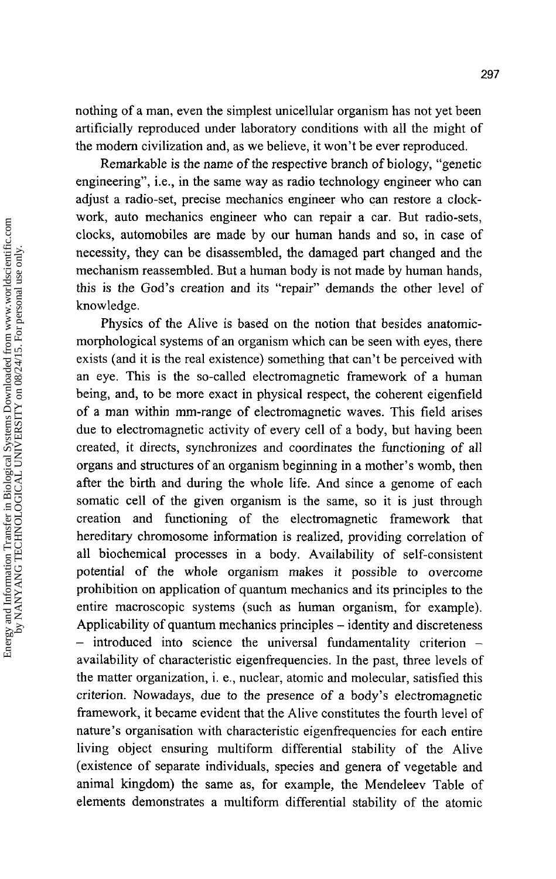nothing of a man, even the simplest unicellular organism has not yet been artificially reproduced under laboratory conditions with all the might of the modem civilization and, as we believe, it won't be ever reproduced.

Remarkable is the name of the respective branch of biology, "genetic engineering", i.e., in the same way as radio technology engineer who can adjust a radio-set, precise mechanics engineer who can restore a clockwork, auto mechanics engineer who can repair a car. But radio-sets, clocks, automobiles are made by our human hands and so, in case of necessity, they can be disassembled, the damaged part changed and the mechanism reassembled. But a human body is not made by human hands, this is the God's creation and its "repair" demands the other level of knowledge.

Physics of the Alive is based on the notion that besides anatomicmorphological systems of an organism which can be seen with eyes, there exists (and it is the real existence) something that can't be perceived with an eye. This is the so-called electromagnetic framework of a human being, and, to be more exact in physical respect, the coherent eigenfield of a man within mm-range of electromagnetic waves. This field arises due to electromagnetic activity of every cell of a body, but having been created, it directs, synchronizes and coordinates the functioning of all organs and structures of an organism beginning in a mother's womb, then after the birth and during the whole life. And since a genome of each somatic cell of the given organism is the same, so it is just through creation and functioning of the electromagnetic framework that hereditary chromosome information is realized, providing correlation of all biochemical processes in a body. Availability of self-consistent potential of the whole organism makes it possible to overcome prohibition on application of quantum mechanics and its principles to the entire macroscopic systems (such as human organism, for example). Applicability of quantum mechanics principles – identity and discreteness introduced into science the universal fundamentality criterion availability of characteristic eigenfrequencies. In the past, three levels of the matter organization, i. e., nuclear, atomic and molecular, satisfied this criterion. Nowadays, due to the presence of a body's electromagnetic framework, it became evident that the Alive constitutes the fourth level of nature's organisation with characteristic eigenfrequencies for each entire living object ensuring multiform differential stability of the Alive (existence of separate individuals, species and genera of vegetable and animal kingdom) the same as, for example, the Mendeleev Table of elements demonstrates a multiform differential stability of the atomic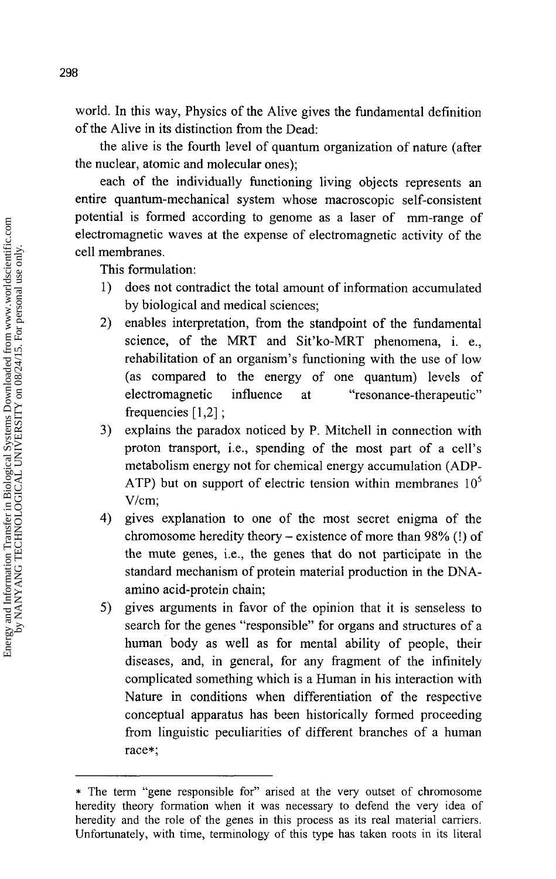world. In this way, Physics of the Alive gives the fundamental definition of the Alive in its distinction from the Dead:

the alive is the fourth level of quantum organization of nature (after the nuclear, atomic and molecular ones);

each of the individually functioning living objects represents an entire quantum-mechanical system whose macroscopic self-consistent potential is formed according to genome as a laser of mm-range of electromagnetic waves at the expense of electromagnetic activity of the cell membranes.

This formulation:

- 1) does not contradict the total amount of information accumulated by biological and medical sciences;
- **2)**  enables interpretation, from the standpoint of the fundamental science, of the MRT and Sit'ko-MRT phenomena, i. e., rehabilitation of an organism's functioning with the use of low (as compared to the energy of one quantum) levels of electromagnetic influence at "resonance-therapeutic'' frequencies [ 1,2] ;
- explains the paradox noticed by P. Mitchell in connection with proton transport, i.e., spending of the most part of a cell's metabolism energy not for chemical energy accumulation (ADP-ATP) but on support of electric tension within membranes  $10<sup>5</sup>$  $V/cm$ : 3)
- 4) gives explanation to one of the most secret enigma of the chromosome heredity theory - existence of more than 98% (!) of the mute genes, i.e., the genes that do not participate in the standard mechanism of protein material production in the DNAamino acid-protein chain;
- 5) gives arguments in favor of the opinion that it is senseless to search for the genes "responsible" for organs and structures of a human body as well as for mental ability of people, their diseases, and, in general, for any fragment of the infinitely complicated something which is a Human in his interaction with Nature in conditions when differentiation of the respective conceptual apparatus has been historically formed proceeding from linguistic peculiarities of different branches of a human race\*;

<sup>\*</sup> The term "gene responsible for" arised at the very outset of chromosome heredity theory formation when it was necessary to defend the very idea of heredity and the role of the genes in this process as its real material carriers. Unfortunately, with time, terminology of this type has taken roots in its literal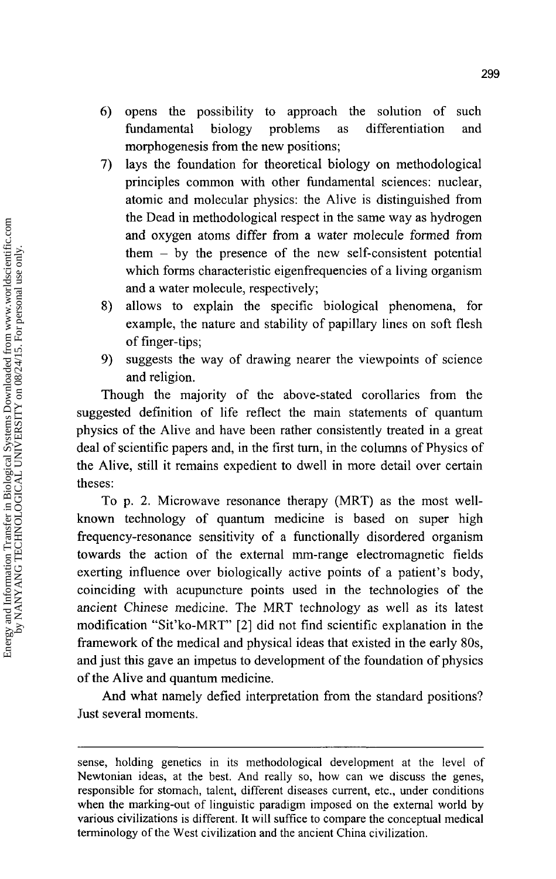- 6) opens the possibility to approach the solution of such fundamental biology problems as differentiation and morphogenesis from the new positions;
- lays the foundation for theoretical biology on methodological principles common with other fundamental sciences: nuclear, atomic and molecular physics: the Alive is distinguished from the Dead in methodological respect in the same way as hydrogen and oxygen atoms differ from a water molecule formed from them  $-$  by the presence of the new self-consistent potential which forms characteristic eigenfrequencies of a living organism and a water molecule, respectively; fundamental biology problems as differentiation and<br>morphogenesis from the new positions;<br>7) lays the foundation for theoretical biology on methodological<br>principles common with other fundamental sciences: nuclear,<br>atomic them  $-$  by the presence of the new self-consistent potential<br>which forms characteristic eigenfrequencies of a living organism<br>and a water molecule, respectively;<br>8) allows to explain the specific biological phenomena, fo
	- allows to explain the specific biological phenomena, for example, the nature and stability of papillary lines on soft flesh of finger-tips;
	- suggests the way of drawing nearer the viewpoints of science and religion.

Though the majority of the above-stated corollaries from the suggested definition of life reflect the main statements of quantum physics of the Alive and have been rather consistently treated in a great deal of scientific papers and, in the first turn, in the columns of Physics of the Alive, still it remains expedient to dwell in more detail over certain theses:

To p. *2.* Microwave resonance therapy (MRT) as the most wellknown technology of quantum medicine is based on super high frequency-resonance sensitivity of a functionally disordered organism towards the action of the external mm-range electromagnetic fields exerting influence over biologically active points of a patient's body, coinciding with acupuncture points used in the technologies of the ancient Chinese medicine. The MRT technology as well as its latest modification "Sit'ko-MRT" [2] did not find scientific explanation in the framework of the medical and physical ideas that existed in the early 80s, and just this gave an impetus to development of the foundation of physics of the Alive and quantum medicine.

And what namely defied interpretation from the standard positions? Just several moments.

sense, holding genetics in its methodological development at the level of Newtonian ideas, at the best. And really so, how can we discuss the genes, responsible for stomach, talent, different diseases current, etc., under conditions when the marking-out of linguistic paradigm imposed on the external world by various civilizations is different. It will suffice to compare the conceptual medical terminology of the West civilization and the ancient China civilization.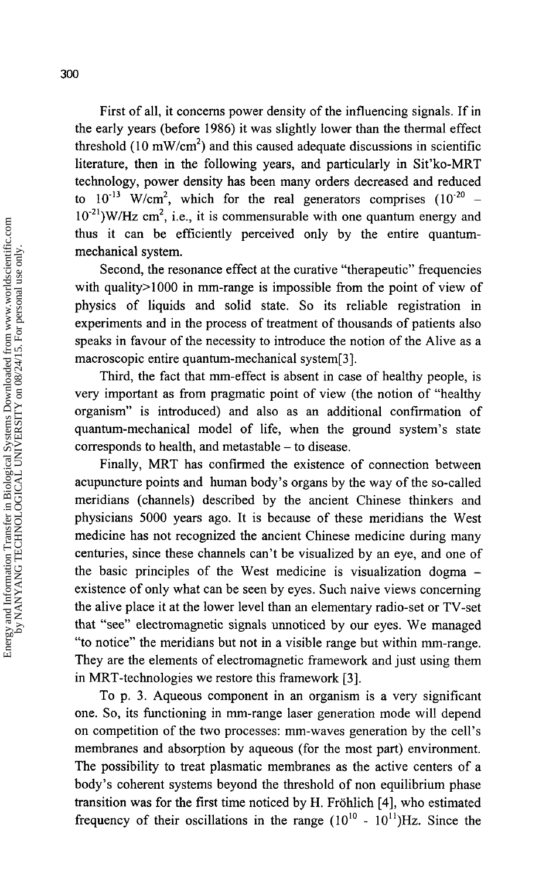First of all, it concerns power density of the influencing signals. If in the early years (before **1986)** it was slightly lower than the thermal effect threshold  $(10 \text{ mW/cm}^2)$  and this caused adequate discussions in scientific literature, then in the following years, and particularly in Sit'ko-MRT technology, power density has been many orders decreased and reduced to  $10^{-13}$  W/cm<sup>2</sup>, which for the real generators comprises  $(10^{-20}$  $10^{-21}$ )W/Hz cm<sup>2</sup>, i.e., it is commensurable with one quantum energy and thus it can be efficiently perceived only by the entire quantummechanical system.

Second, the resonance effect at the curative "therapeutic" frequencies with quality>1000 in mm-range is impossible from the point of view of physics of liquids and solid state. So its reliable registration in experiments and in the process of treatment of thousands of patients also speaks in favour of the necessity to introduce the notion of the Alive as a macroscopic entire quantum-mechanical system[3].

Third, the fact that mm-effect is absent in case of healthy people, is very important as from pragmatic point of view (the notion of "healthy organism" is introduced) and also as an additional confirmation of quantum-mechanical model of life, when the ground system's state corresponds to health, and metastable - to disease.

Finally, MRT has confirmed the existence of connection between acupuncture points and human body's organs by the way of the so-called meridians (channels) described by the ancient Chinese thinkers and physicians 5000 years ago. It is because of these meridians the West medicine has not recognized the ancient Chinese medicine during many centuries, since these channels can't be visualized by an eye, and one of the basic principles of the West medicine is visualization dogma existence of only what can be seen by eyes. Such naive views concerning the alive place it at the lower level than an elementary radio-set or TV-set that "see" electromagnetic signals unnoticed by our eyes. We managed "to notice" the meridians but not in a visible range but within mm-range. They are the elements of electromagnetic framework and just using them in MRT-technologies we restore this framework **[3].** 

To p. 3. Aqueous component in an organism is a very significant one. *So,* its functioning in mm-range laser generation mode will depend on competition of the two processes: mm-waves generation by the cell's membranes and absorption by aqueous (for the most part) environment. The possibility to treat plasmatic membranes as the active centers of a body's coherent systems beyond the threshold of non equilibrium phase transition was for the first time noticed by H. Frohlich **[4],** who estimated frequency of their oscillations in the range  $(10^{10} - 10^{11})$  Hz. Since the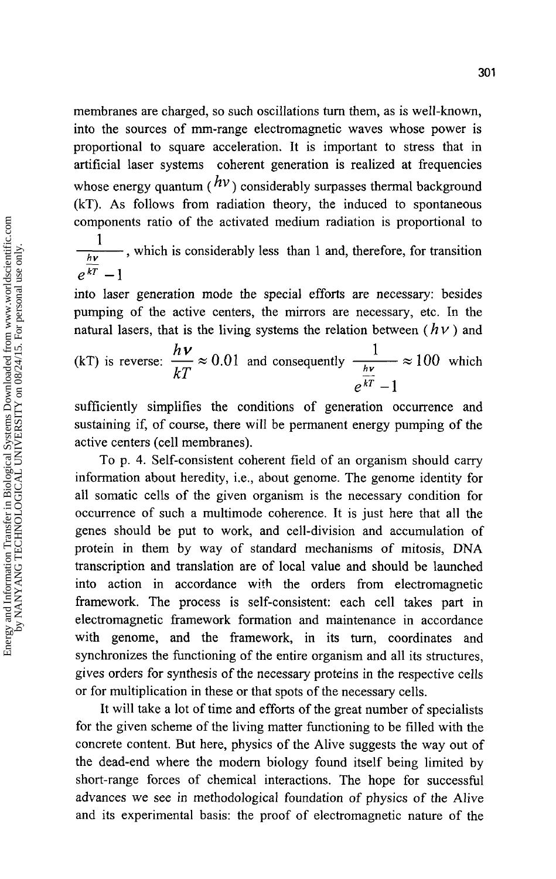membranes are charged, so such oscillations turn them, as is well-known, into the sources of mm-range electromagnetic waves whose power is proportional to square acceleration. It is important to stress that in artificial laser systems coherent generation is realized at frequencies whose energy quantum ( $h\nu$ ) considerably surpasses thermal background (kT). As follows from radiation theory, the induced to spontaneous components ratio of the activated medium radiation is proportional to 1

, which is considerably less than 1 and, therefore, for transition  $\frac{1}{e^{\frac{h\nu}{kT}}-1}$ *hv* 

into laser generation mode the special efforts are necessary: besides pumping of the active centers, the mirrors are necessary, etc. In the natural lasers, that is the living systems the relation between  $(h\nu)$  and

(kT) is reverse: 
$$
\frac{h\nu}{kT} \approx 0.01
$$
 and consequently  $\frac{1}{e^{\frac{h\nu}{kT}}} \approx 100$  which

sufficiently simplifies the conditions of generation occurrence and sustaining if, of course, there will be permanent energy pumping of the active centers (cell membranes).

To p. 4. Self-consistent coherent field of an organism should carry information about heredity, i.e., about genome. The genome identity for all somatic cells of the given organism is the necessary condition for occurrence of such a multimode coherence. It is just here that all the genes should be put to work, and cell-division and accumulation of protein in them by way of standard mechanisms of mitosis, DNA transcription and translation are of local value and should be launched into action in accordance with the orders from electromagnetic framework. The process is self-consistent: each cell takes part in electromagnetic framework formation and maintenance in accordance with genome, and the framework, in its turn, coordinates and synchronizes the functioning of the entire organism and all its structures, gives orders for synthesis of the necessary proteins in the respective cells or for multiplication in these or that spots of the necessary cells.

It will take a lot of time and efforts of the great number of specialists for the given scheme of the living matter functioning to be filled with the concrete content. But here, physics of the Alive suggests the way out of the dead-end where the modem biology found itself being limited by short-range forces of chemical interactions. The hope for successful advances we see in methodological foundation of physics of the Alive and its experimental basis: the proof of electromagnetic nature of the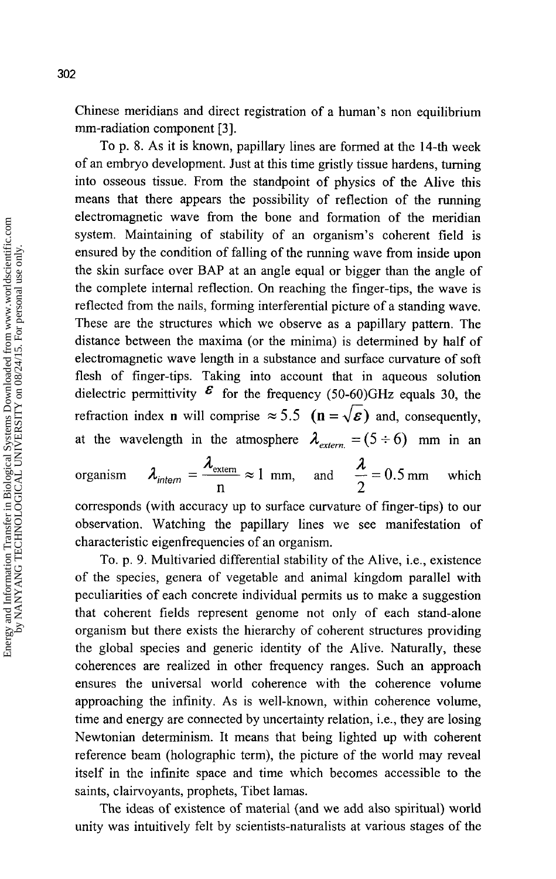Chinese meridians and direct registration of a human's non equilibrium mm-radiation component [3].

To p. 8. As it is known, papillary lines are formed at the 14-th week of an embryo development. Just at this time gristly tissue hardens, turning into osseous tissue. From the standpoint of physics of the Alive this means that there appears the possibility of reflection of the running electromagnetic wave from the bone and formation of the meridian system. Maintaining of stability of an organism's coherent field is ensured by the condition of falling of the running wave from inside upon the skin surface over BAP at an angle equal or bigger than the angle of the complete internal reflection. On reaching the finger-tips, the wave is reflected from the nails, forming interferential picture of a standing wave. These are the structures which we observe as a papillary pattern. The distance between the maxima (or the minima) is determined by half of electromagnetic wave length in a substance and surface curvature of soft flesh of finger-tips. Taking into account that in aqueous solution dielectric permittivity  $\epsilon$  for the frequency (50-60)GHz equals 30, the refraction index **n** will comprise  $\approx 5.5$  (**n** =  $\sqrt{\epsilon}$ ) and, consequently, at the wavelength in the atmosphere  $\lambda_{\text{external}} = (5 \div 6)$  mm in an

organism 
$$
\lambda_{\text{inter}} = \frac{\lambda_{\text{exterm}}}{n} \approx 1 \text{ mm}
$$
, and  $\frac{\lambda}{2} = 0.5 \text{ mm}$  which

corresponds (with accuracy up to surface curvature of finger-tips) to our observation. Watching the papillary lines we see manifestation of characteristic eigenfrequencies of an organism.

To. p. 9. Multivaried differential stability of the Alive, i.e., existence of the species, genera of vegetable and animal kingdom parallel with peculiarities of each concrete individual permits us to make a suggestion that coherent fields represent genome not only of each stand-alone organism but there exists the hierarchy of coherent structures providing the global species and generic identity of the Alive. Naturally, these coherences are realized in other frequency ranges. Such an approach ensures the universal world coherence with the coherence volume approaching the infinity. As is well-known, within coherence volume, time and energy are connected by uncertainty relation, i.e., they are losing Newtonian determinism. It means that being lighted up with coherent reference beam (holographic term), the picture of the world may reveal itself in the infinite space and time which becomes accessible to the saints, clairvoyants, prophets, Tibet lamas.

The ideas of existence of material (and we add also spiritual) world unity was intuitively felt by scientists-naturalists at various stages of the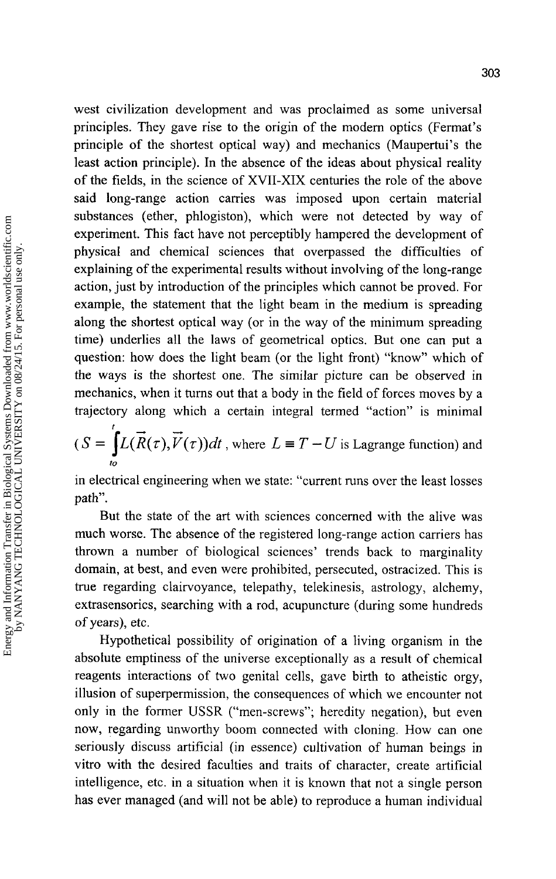west civilization development and was proclaimed as some universal principles. They gave rise to the origin of the modem optics (Fermat's principle of the shortest optical way) and mechanics (Maupertui's the least action principle). In the absence of the ideas about physical reality of the fields, in the science of XVII-XIX centuries the role of the above said long-range action carries was imposed upon certain material substances (ether, phlogiston), which were not detected by way of experiment. This fact have not perceptibly hampered the development of physical and chemical sciences that overpassed the difficulties of explaining of the experimental results without involving of the long-range action, just by introduction of the principles which cannot be proved. For example, the statement that the light beam in the medium is spreading along the shortest optical way (or in the way of the minimum spreading time) underlies all the laws of geometrical optics. But one can put a question: how does the light beam (or the light front) "know" which of the ways is the shortest one. The similar picture can be observed in mechanics, when it turns out that a body in the field of forces moves by a trajectory along which a certain integral termed "action" is minimal<br>  $\oint_{\mathcal{L}} f(\vec{p}) \to \vec{p}(\vec{p})$ 

$$
(S = \int_{t_0}^{t} L(\vec{R}(\tau), \vec{V}(\tau)) dt
$$
, where  $L \equiv T - U$  is Lagrange function) and

in electrical engineering when we state: "current runs over the least losses path".

But the state of the art with sciences concerned with the alive was much worse. The absence of the registered long-range action carriers has thrown a number of biological sciences' trends back to marginality domain, at best, and even were prohibited, persecuted, ostracized. This is true regarding clairvoyance, telepathy, telekinesis, astrology, alchemy, extrasensorics, searching with a rod, acupuncture (during some hundreds of years), etc.

Hypothetical possibility of origination of a living organism in the absolute emptiness of the universe exceptionally as a result of chemical reagents interactions of two genital cells, gave birth to atheistic orgy, illusion of superpermission, the consequences of which we encounter not only in the former USSR ("men-screws"; heredity negation), but even now, regarding unworthy boom connected with cloning. How can one seriously discuss artificial (in essence) cultivation of human beings in vitro with the desired faculties and traits of character, create artificial intelligence, etc. in a situation when it is known that not a single person has ever managed (and will not be able) to reproduce a human individual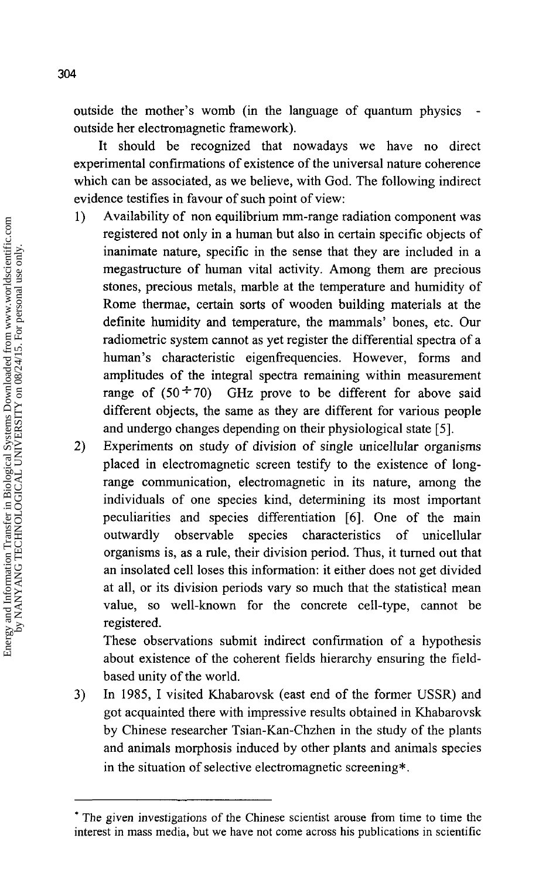outside the mother's womb (in the language of quantum physics outside her electromagnetic framework). -

It should be recognized that nowadays we have no direct experimental confirmations of existence of the universal nature coherence which can be associated, as we believe, with God. The following indirect evidence testifies in favour of such point of view:

- 1) Availability of non equilibrium mm-range radiation component was registered not only in a human but also in certain specific objects of inanimate nature, specific in the sense that they are included in a megastructure of human vital activity. Among them are precious stones, precious metals, marble at the temperature and humidity of Rome thermae, certain sorts of wooden building materials at the definite humidity and temperature, the mammals' bones, etc. Our radiometric system cannot as yet register the differential spectra of a human's characteristic eigenfiequencies. However, forms and amplitudes of the integral spectra remaining within measurement range of  $(50 \div 70)$  GHz prove to be different for above said different objects, the same as they are different for various people and undergo changes depending on their physiological state *[5].*
- Experiments on study of division of single unicellular organisms placed in electromagnetic screen testify to the existence of longrange communication, electromagnetic in its nature, among the individuals of one species kind, determining its most important peculiarities and species differentiation *[6].* One of the main outwardly observable species characteristics of unicellular organisms is, as a rule, their division period. Thus, it turned out that an insolated cell loses this information: it either does not get divided at all, or its division periods vary so much that the statistical mean value, so well-known for the concrete cell-type, cannot be registered. 2)

These observations submit indirect confirmation of a hypothesis about existence of the coherent fields hierarchy ensuring the fieldbased unity of the world.

In 1985, I visited Khabarovsk (east end of the former USSR) and got acquainted there with impressive results obtained in Khabarovsk by Chinese researcher Tsian-Kan-Chzhen in the study of the plants and animals morphosis induced by other plants and animals species in the situation of selective electromagnetic screening\*. 3)

The given investigations of the Chinese scientist arouse from time to time the interest in mass media, but we have not come across his publications in scientific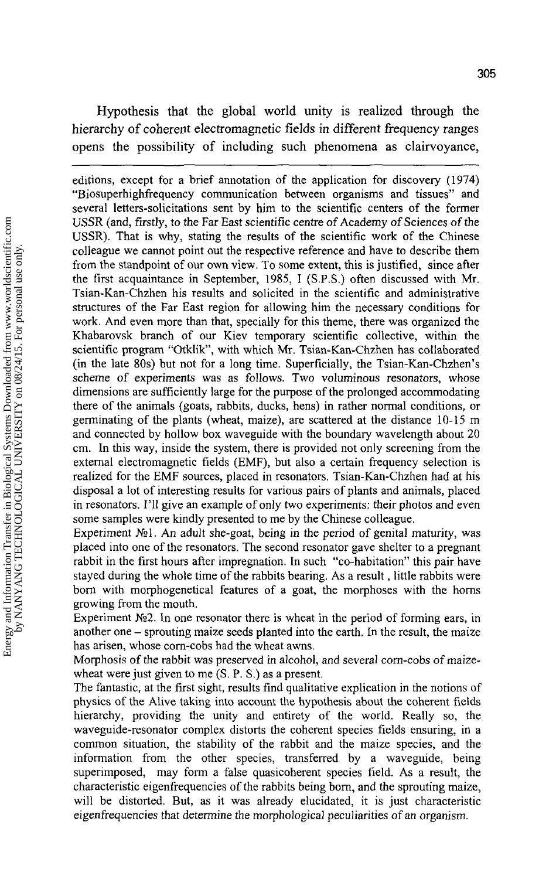Hypothesis that the global world unity is realized through the hierarchy of coherent electromagnetic fields in different frequency ranges opens the possibility of including such phenomena as clairvoyance,

editions, except for a brief annotation of the application for discovery (1974) "Biosuperhighfrequency communication between organisms and tissues" and several letters-solicitations sent by him to the scientific centers of the former USSR (and, firstly, to the Far East scientific centre of Academy of Sciences of the USSR). That is why, stating the results of the scientific work of the Chinese colleague we cannot point out the respective reference and have to describe them from the standpoint of our own view. To some extent, this is justified, since after the first acquaintance in September, 1985, I (S.P.S.) often discussed with Mr. Tsian-Kan-Chzhen his results and solicited in the scientific and administrative structures of the Far East region for allowing him the necessary conditions for work. And even more than that, specially for this theme, there was organized the Khabarovsk branch of our Kiev temporary scientific collective, within the scientific program "Otklik", with which Mr. Tsian-Kan-Chzhen has collaborated (in the late 80s) but not for a long time. Superficially, the Tsian-Kan-Chzhen's scheme of experiments was as follows. Two voluminous resonators, whose dimensions are sufficiently large for the purpose of the prolonged accommodating there of the animals (goats, rabbits, ducks, hens) in rather normal conditions, or germinating of the plants (wheat, maize), are scattered at the distance 10-15 m and connected by hollow box waveguide with the boundary wavelength about 20 cm. In this way, inside the system, there is provided not only screening from the external electromagnetic fields (EMF), but also a certain frequency selection is realized for the EMF sources, placed in resonators. Tsian-Kan-Chzhen had at his disposal a lot of interesting results for various pairs of plants and animals, placed in resonators. I'll give an example of only two experiments: their photos and even some samples were kindly presented to me by the Chinese colleague.

Experiment **Ngl. An** adult she-goat, being in the period of genital maturity, was placed into one of the resonators. The second resonator gave shelter to a pregnant rabbit in the first hours after impregnation. In such "co-habitation" this pair have stayed during the whole time of the rabbits bearing. As a result , little rabbits were born with morphogenetical features of a goat, the morphoses with the horns growing from the mouth.

Experiment Nº2. In one resonator there is wheat in the period of forming ears, in another one - sprouting maize seeds planted into the earth. In the result, the maize has arisen, whose corn-cobs had the wheat awns.

Morphosis of the rabbit was preserved in alcohol, and several corn-cobs of maizewheat were just given to me  $(S, P, S)$  as a present.

The fantastic, at the first sight, results find qualitative explication in the notions of physics of the Alive taking into account the hypothesis about the coherent fields hierarchy, providing the unity and entirety of the world. Really so, the waveguide-resonator complex distorts the coherent species fields ensuring, in a common situation, the stability of the rabbit and the maize species, and the information from the other species, transferred by a waveguide, being superimposed, may form a false quasicoherent species field. As a result, the characteristic eigenfrequencies of the rabbits being born, and the sprouting maize, will be distorted. But, as it was already elucidated, it is just characteristic eigenfrequencies that determine the morphological peculiarities of an organism.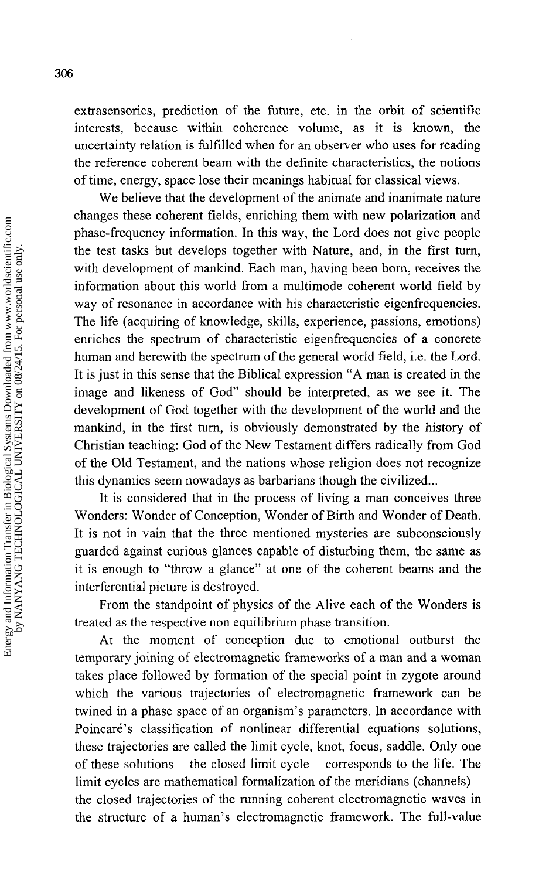extrasensorics, prediction of the future, etc. in the orbit of scientific interests, because within coherence volume, as it is known, the uncertainty relation is fulfilled when for an observer who uses for reading the reference coherent beam with the definite characteristics, the notions of time, energy, space lose their meanings habitual for classical views.

We believe that the development of the animate and inanimate nature changes these coherent fields, enriching them with new polarization and phase-frequency information. In this way, the Lord does not give people the test tasks but develops together with Nature, and, in the first turn, with development of mankind. Each man, having been born, receives the information about this world from a multimode coherent world field by way of resonance in accordance with his characteristic eigenfrequencies. The life (acquiring of knowledge, skills, experience, passions, emotions) enriches the spectrum of characteristic eigenfrequencies of a concrete human and herewith the spectrum of the general world field, i.e. the Lord. It is just in this sense that the Biblical expression "A man is created in the image and likeness of God" should be interpreted, as we see it. The development of God together with the development of the world and the mankind, in the first turn, is obviously demonstrated by the history of Christian teaching: God of the New Testament differs radically from God of the Old Testament, and the nations whose religion does not recognize this dynamics seem nowadays as barbarians though the civilized ...

It is considered that in the process of living a man conceives three Wonders: Wonder of Conception, Wonder of Birth and Wonder of Death. It is not in vain that the three mentioned mysteries are subconsciously guarded against curious glances capable of disturbing them, the same as it is enough to "throw a glance" at one of the coherent beams and the interferential picture is destroyed.

From the standpoint of physics of the Alive each of the Wonders is treated as the respective non equilibrium phase transition.

At the moment of conception due to emotional outburst the temporary joining of electromagnetic frameworks of a man and a woman takes place followed by formation of the special point in zygote around which the various trajectories of electromagnetic framework can be twined in a phase space of an organism's parameters. In accordance with Poincaré's classification of nonlinear differential equations solutions, these trajectories are called the limit cycle, knot, focus, saddle. Only one of these solutions  $-$  the closed limit cycle  $-$  corresponds to the life. The limit cycles are mathematical formalization of the meridians (channels) the closed trajectories of the running coherent electromagnetic waves in the structure of a human's electromagnetic framework. The full-value